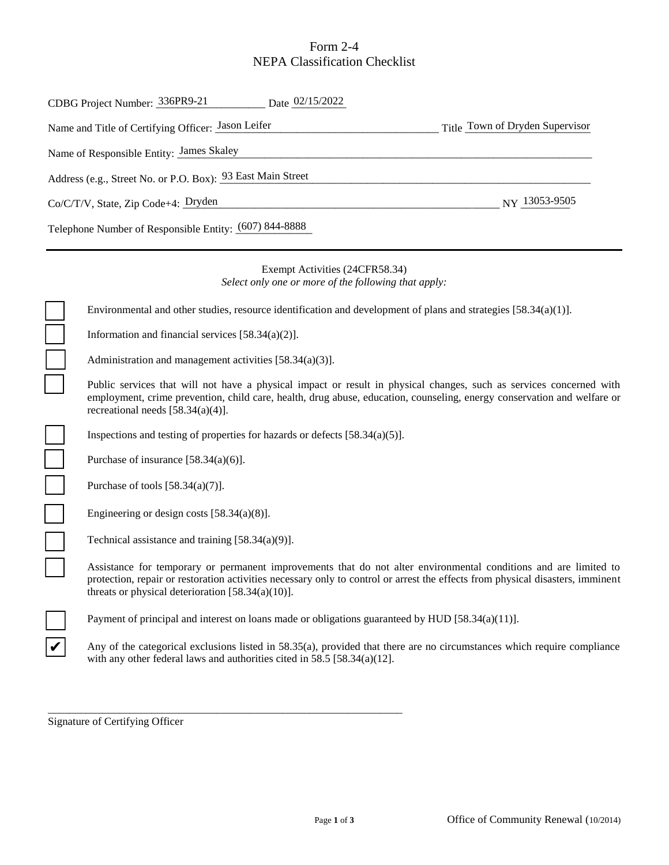### Form 2-4 NEPA Classification Checklist

| CDBG Project Number: 336PR9-21 Date 02/15/2022                                         |                                                                                                                                                                                                                                                                                                           |  |
|----------------------------------------------------------------------------------------|-----------------------------------------------------------------------------------------------------------------------------------------------------------------------------------------------------------------------------------------------------------------------------------------------------------|--|
| Title Town of Dryden Supervisor<br>Name and Title of Certifying Officer: Jason Leifer  |                                                                                                                                                                                                                                                                                                           |  |
| Name of Responsible Entity: James Skaley                                               |                                                                                                                                                                                                                                                                                                           |  |
| Address (e.g., Street No. or P.O. Box): 93 East Main Street                            |                                                                                                                                                                                                                                                                                                           |  |
| NY 13053-9505<br>Co/C/T/V, State, Zip Code+4: Dryden                                   |                                                                                                                                                                                                                                                                                                           |  |
| Telephone Number of Responsible Entity: (607) 844-8888                                 |                                                                                                                                                                                                                                                                                                           |  |
| Exempt Activities (24CFR58.34)<br>Select only one or more of the following that apply: |                                                                                                                                                                                                                                                                                                           |  |
|                                                                                        | Environmental and other studies, resource identification and development of plans and strategies $[58.34(a)(1)]$ .                                                                                                                                                                                        |  |
|                                                                                        | Information and financial services $[58.34(a)(2)].$                                                                                                                                                                                                                                                       |  |
|                                                                                        | Administration and management activities $[58.34(a)(3)]$ .                                                                                                                                                                                                                                                |  |
|                                                                                        | Public services that will not have a physical impact or result in physical changes, such as services concerned with<br>employment, crime prevention, child care, health, drug abuse, education, counseling, energy conservation and welfare or<br>recreational needs $[58.34(a)(4)].$                     |  |
|                                                                                        | Inspections and testing of properties for hazards or defects $[58.34(a)(5)]$ .                                                                                                                                                                                                                            |  |
|                                                                                        | Purchase of insurance $[58.34(a)(6)].$                                                                                                                                                                                                                                                                    |  |
| $\overline{\phantom{0}}$                                                               | Purchase of tools $[58.34(a)(7)]$ .                                                                                                                                                                                                                                                                       |  |
|                                                                                        | Engineering or design costs $[58.34(a)(8)].$                                                                                                                                                                                                                                                              |  |
|                                                                                        | Technical assistance and training $[58.34(a)(9)]$ .                                                                                                                                                                                                                                                       |  |
|                                                                                        | Assistance for temporary or permanent improvements that do not alter environmental conditions and are limited to<br>protection, repair or restoration activities necessary only to control or arrest the effects from physical disasters, imminent<br>threats or physical deterioration $[58.34(a)(10)].$ |  |

Payment of principal and interest on loans made or obligations guaranteed by HUD [58.34(a)(11)].

\_\_\_\_\_\_\_\_\_\_\_\_\_\_\_\_\_\_\_\_\_\_\_\_\_\_\_\_\_\_\_\_\_\_\_\_\_\_\_\_\_\_\_\_\_\_\_\_\_\_\_\_\_\_\_\_\_\_\_\_\_\_\_\_\_

Any of the categorical exclusions listed in 58.35(a), provided that there are no circumstances which require compliance with any other federal laws and authorities cited in 58.5 [58.34(a)(12].

Signature of Certifying Officer

✔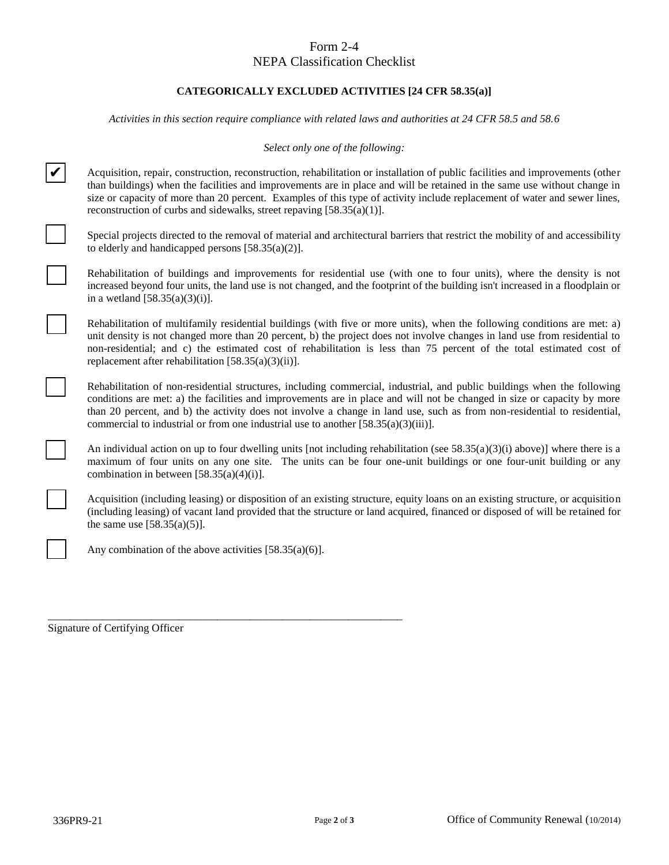# Form 2-4

## NEPA Classification Checklist

#### **CATEGORICALLY EXCLUDED ACTIVITIES [24 CFR 58.35(a)]**

*Activities in this section require compliance with related laws and authorities at 24 CFR 58.5 and 58.6*

*Select only one of the following:*

Acquisition, repair, construction, reconstruction, rehabilitation or installation of public facilities and improvements (other than buildings) when the facilities and improvements are in place and will be retained in the same use without change in size or capacity of more than 20 percent. Examples of this type of activity include replacement of water and sewer lines, reconstruction of curbs and sidewalks, street repaving [58.35(a)(1)].

Special projects directed to the removal of material and architectural barriers that restrict the mobility of and accessibility to elderly and handicapped persons  $[58.35(a)(2)].$ 

Rehabilitation of buildings and improvements for residential use (with one to four units), where the density is not increased beyond four units, the land use is not changed, and the footprint of the building isn't increased in a floodplain or in a wetland  $[58.35(a)(3)(i)].$ 

Rehabilitation of multifamily residential buildings (with five or more units), when the following conditions are met: a) unit density is not changed more than 20 percent, b) the project does not involve changes in land use from residential to non-residential; and c) the estimated cost of rehabilitation is less than 75 percent of the total estimated cost of replacement after rehabilitation [58.35(a)(3)(ii)].

Rehabilitation of non-residential structures, including commercial, industrial, and public buildings when the following conditions are met: a) the facilities and improvements are in place and will not be changed in size or capacity by more than 20 percent, and b) the activity does not involve a change in land use, such as from non-residential to residential, commercial to industrial or from one industrial use to another [58.35(a)(3)(iii)].

An individual action on up to four dwelling units [not including rehabilitation (see  $58.35(a)(3)(i)$  above)] where there is a maximum of four units on any one site. The units can be four one-unit buildings or one four-unit building or any combination in between  $[58.35(a)(4)(i)].$ 

Acquisition (including leasing) or disposition of an existing structure, equity loans on an existing structure, or acquisition (including leasing) of vacant land provided that the structure or land acquired, financed or disposed of will be retained for the same use  $[58.35(a)(5)]$ .

Any combination of the above activities [58.35(a)(6)].

\_\_\_\_\_\_\_\_\_\_\_\_\_\_\_\_\_\_\_\_\_\_\_\_\_\_\_\_\_\_\_\_\_\_\_\_\_\_\_\_\_\_\_\_\_\_\_\_\_\_\_\_\_\_\_\_\_\_\_\_\_\_\_\_\_ Signature of Certifying Officer

✔